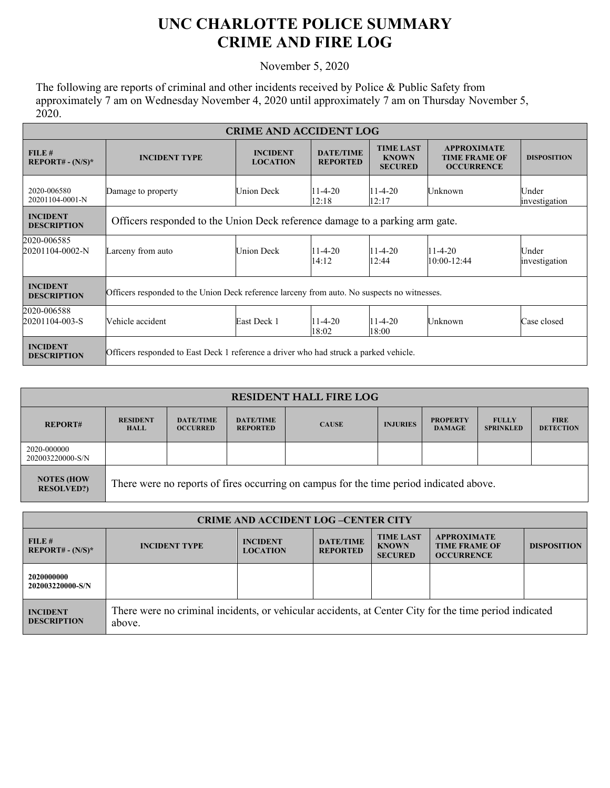## **UNC CHARLOTTE POLICE SUMMARY CRIME AND FIRE LOG**

November 5, 2020

The following are reports of criminal and other incidents received by Police & Public Safety from approximately 7 am on Wednesday November 4, 2020 until approximately 7 am on Thursday November 5, 2020.

| <b>CRIME AND ACCIDENT LOG</b>         |                                                                                             |                                    |                                     |                                                    |                                                                 |                        |  |  |
|---------------------------------------|---------------------------------------------------------------------------------------------|------------------------------------|-------------------------------------|----------------------------------------------------|-----------------------------------------------------------------|------------------------|--|--|
| FILE#<br>$REPORT# - (N/S)*$           | <b>INCIDENT TYPE</b>                                                                        | <b>INCIDENT</b><br><b>LOCATION</b> | <b>DATE/TIME</b><br><b>REPORTED</b> | <b>TIME LAST</b><br><b>KNOWN</b><br><b>SECURED</b> | <b>APPROXIMATE</b><br><b>TIME FRAME OF</b><br><b>OCCURRENCE</b> | <b>DISPOSITION</b>     |  |  |
| 2020-006580<br>20201104-0001-N        | Damage to property                                                                          | Union Deck                         | $11 - 4 - 20$<br>12:18              | $11 - 4 - 20$<br>12:17                             | Unknown                                                         | Under<br>investigation |  |  |
| <b>INCIDENT</b><br><b>DESCRIPTION</b> | Officers responded to the Union Deck reference damage to a parking arm gate.                |                                    |                                     |                                                    |                                                                 |                        |  |  |
| 2020-006585<br>20201104-0002-N        | Larceny from auto                                                                           | Union Deck                         | 11-4-20<br>14:12                    | 11-4-20<br>12:44                                   | $11-4-20$<br>10:00-12:44                                        | Under<br>investigation |  |  |
| <b>INCIDENT</b><br><b>DESCRIPTION</b> | Officers responded to the Union Deck reference larceny from auto. No suspects no witnesses. |                                    |                                     |                                                    |                                                                 |                        |  |  |
| 2020-006588<br>20201104-003-S         | Vehicle accident                                                                            | East Deck 1                        | $11-4-20$<br>18:02                  | $11 - 4 - 20$<br>18:00                             | Unknown                                                         | Case closed            |  |  |
| <b>INCIDENT</b><br><b>DESCRIPTION</b> | Officers responded to East Deck 1 reference a driver who had struck a parked vehicle.       |                                    |                                     |                                                    |                                                                 |                        |  |  |

| <b>RESIDENT HALL FIRE LOG</b>          |                                                                                         |                                     |                                     |              |                 |                                  |                                  |                                 |
|----------------------------------------|-----------------------------------------------------------------------------------------|-------------------------------------|-------------------------------------|--------------|-----------------|----------------------------------|----------------------------------|---------------------------------|
| <b>REPORT#</b>                         | <b>RESIDENT</b><br><b>HALL</b>                                                          | <b>DATE/TIME</b><br><b>OCCURRED</b> | <b>DATE/TIME</b><br><b>REPORTED</b> | <b>CAUSE</b> | <b>INJURIES</b> | <b>PROPERTY</b><br><b>DAMAGE</b> | <b>FULLY</b><br><b>SPRINKLED</b> | <b>FIRE</b><br><b>DETECTION</b> |
| 2020-000000<br>202003220000-S/N        |                                                                                         |                                     |                                     |              |                 |                                  |                                  |                                 |
| <b>NOTES (HOW</b><br><b>RESOLVED?)</b> | There were no reports of fires occurring on campus for the time period indicated above. |                                     |                                     |              |                 |                                  |                                  |                                 |

| <b>CRIME AND ACCIDENT LOG-CENTER CITY</b> |                                                                                                                  |                                    |                                     |                                                    |                                                                 |                    |  |
|-------------------------------------------|------------------------------------------------------------------------------------------------------------------|------------------------------------|-------------------------------------|----------------------------------------------------|-----------------------------------------------------------------|--------------------|--|
| FILE#<br>$REPORT# - (N/S)*$               | <b>INCIDENT TYPE</b>                                                                                             | <b>INCIDENT</b><br><b>LOCATION</b> | <b>DATE/TIME</b><br><b>REPORTED</b> | <b>TIME LAST</b><br><b>KNOWN</b><br><b>SECURED</b> | <b>APPROXIMATE</b><br><b>TIME FRAME OF</b><br><b>OCCURRENCE</b> | <b>DISPOSITION</b> |  |
| 2020000000<br>202003220000-S/N            |                                                                                                                  |                                    |                                     |                                                    |                                                                 |                    |  |
| <b>INCIDENT</b><br><b>DESCRIPTION</b>     | There were no criminal incidents, or vehicular accidents, at Center City for the time period indicated<br>above. |                                    |                                     |                                                    |                                                                 |                    |  |